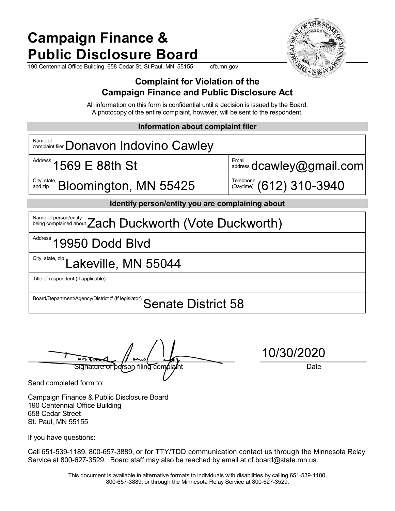## Campaign Finance & Public Disclosure Board

190 Centennial Office Building, 658 Cedar St, St Paul, MN 55155 cfb.mn.gov



### Complaint for Violation of the Campaign Finance and Public Disclosure Act

All information on this form is confidential until a decision is issued by the Board. A photocopy of the entire complaint, however, will be sent to the respondent.

Information about complaint filer

| Name of<br>Name of complaint filer <b>Donavon Indovino Cawley</b>     |                                                                                                     |  |
|-----------------------------------------------------------------------|-----------------------------------------------------------------------------------------------------|--|
| Address 1569 E 88th St                                                | Email address dcawley@gmail.com                                                                     |  |
| City, state,<br>Bloomington, MN 55425<br>and zip                      | $\overset{\text{Telephone}}{\underset{\text{(Daytime)}}{\text{(Daytime)}}}\ (612)\ 310\text{-}3940$ |  |
| Identify person/entity you are complaining about                      |                                                                                                     |  |
| Name of person/entity <b>Zach Duckworth (Vote Duckworth)</b>          |                                                                                                     |  |
| Address 19950 Dodd Blvd                                               |                                                                                                     |  |
| City, state, zip Lakeville, MN 55044                                  |                                                                                                     |  |
| Title of respondent (If applicable)                                   |                                                                                                     |  |
| Board/Department/Agency/District # (If legislator) Senate District 58 |                                                                                                     |  |

 $\frac{1010012020}{\sqrt{1010012020}}$ 

Send completed form to:

Campaign Finance & Public Disclosure Board 190 Centennial Office Building 658 Cedar Street St. Paul, MN 55155

If you have questions:

Call 651-539-1189, 800-657-3889, or for TTY/TDD communication contact us through the Minnesota Relay Service at 800-627-3529. Board staff may also be reached by email at cf.board@state.mn.us.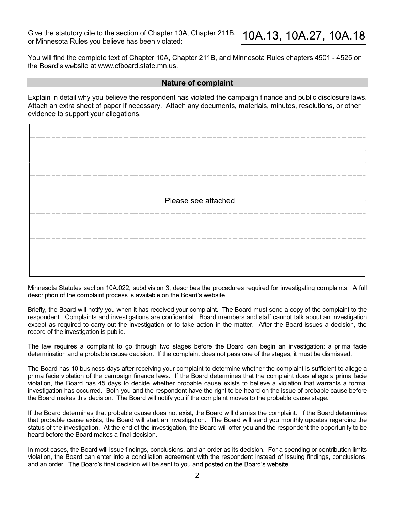Give the statutory cite to the section of Chapter 10A, Chapter 211B,  $\frac{10A.13}{10A.27}$ ,  $\frac{10A.18}{10A.27}$ <br>or Minnesota Rules you believe has been violated:<br>You will find the complete text of Chapter 10A, Chapter 211B, Give the statutory cite to the section of Chapter 10A, Chapter 211B,  $\,$  10A.13, 10A.27, 10A.18<br>or Minnesota Rules you believe has been violated:

You will find the complete text of Chapter 10A, Chapter 211B, and Minnesota Rules chapters 4501 - 4525 on the Board's website at www.cfboard.state.mn.us.

### Nature of complaint

Explain in detail why you believe the respondent has violated the campaign finance and public disclosure laws. Attach an extra sheet of paper if necessary. Attach any documents, materials, minutes, resolutions, or other evidence to support your allegations.

| Please see attached |  |  |
|---------------------|--|--|
|                     |  |  |
|                     |  |  |
|                     |  |  |
|                     |  |  |
|                     |  |  |
|                     |  |  |

Minnesota Statutes section 10A.022, subdivision 3, describes the procedures required for investigating complaints. A full description of the complaint process is available on the Board's website.

Briefly, the Board will notify you when it has received your complaint. The Board must send a copy of the complaint to the respondent. Complaints and investigations are confidential. Board members and staff cannot talk about an investigation except as required to carry out the investigation or to take action in the matter. After the Board issues a decision, the record of the investigation is public.

The law requires a complaint to go through two stages before the Board can begin an investigation: a prima facie determination and a probable cause decision. If the complaint does not pass one of the stages, it must be dismissed.

The Board has 10 business days after receiving your complaint to determine whether the complaint is sufficient to allege a prima facie violation of the campaign finance laws. If the Board determines that the complaint does allege a prima facie violation, the Board has 45 days to decide whether probable cause exists to believe a violation that warrants a formal investigation has occurred. Both you and the respondent have the right to be heard on the issue of probable cause before the Board makes this decision. The Board will notify you if the complaint moves to the probable cause stage.

If the Board determines that probable cause does not exist, the Board will dismiss the complaint. If the Board determines that probable cause exists, the Board will start an investigation. The Board will send you monthly updates regarding the status of the investigation. At the end of the investigation, the Board will offer you and the respondent the opportunity to be heard before the Board makes a final decision.

In most cases, the Board will issue findings, conclusions, and an order as its decision. For a spending or contribution limits violation, the Board can enter into a conciliation agreement with the respondent instead of issuing findings, conclusions, and an order. The Board's final decision will be sent to you and posted on the Board's website.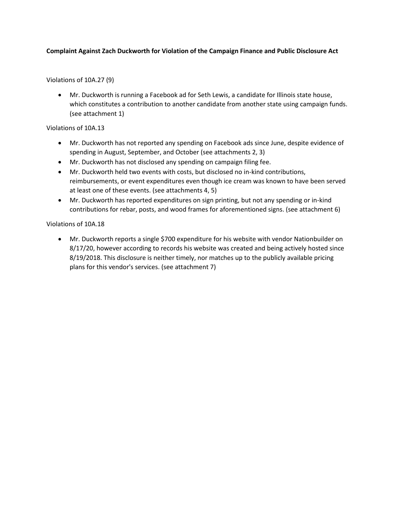### **Complaint Against Zach Duckworth for Violation of the Campaign Finance and Public Disclosure Act**

Violations of 10A.27 (9)

• Mr. Duckworth is running a Facebook ad for Seth Lewis, a candidate for Illinois state house, which constitutes a contribution to another candidate from another state using campaign funds. (see attachment 1)

#### Violations of 10A.13

- Mr. Duckworth has not reported any spending on Facebook ads since June, despite evidence of spending in August, September, and October (see attachments 2, 3)
- Mr. Duckworth has not disclosed any spending on campaign filing fee.
- Mr. Duckworth held two events with costs, but disclosed no in-kind contributions, reimbursements, or event expenditures even though ice cream was known to have been served at least one of these events. (see attachments 4, 5)
- Mr. Duckworth has reported expenditures on sign printing, but not any spending or in-kind contributions for rebar, posts, and wood frames for aforementioned signs. (see attachment 6)

Violations of 10A.18

• Mr. Duckworth reports a single \$700 expenditure for his website with vendor Nationbuilder on 8/17/20, however according to records his website was created and being actively hosted since 8/19/2018. This disclosure is neither timely, nor matches up to the publicly available pricing plans for this vendor's services. (see attachment 7)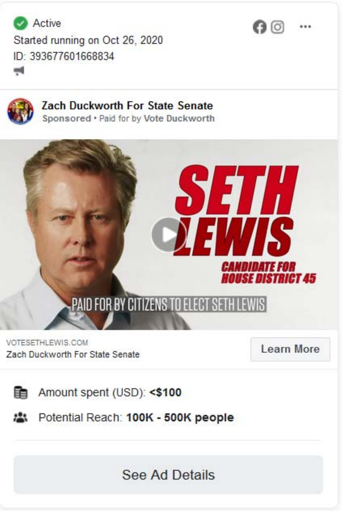Active Started running on Oct 26, 2020 ID: 393677601668834 щ



**Zach Duckworth For State Senate** Sponsored . Paid for by Vote Duckworth



VOTESETHLEWIS.COM Zach Duckworth For State Senate

**Learn More** 

 $\mathbf{\Omega}$ 

Amount spent (USD): <\$100

Potential Reach: 100K - 500K people  $\mathbf{r}$ 

**See Ad Details**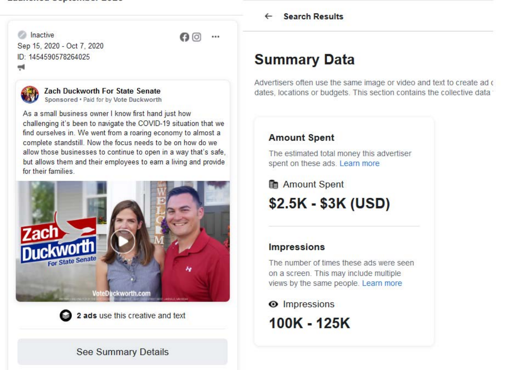Inactive Sep 15, 2020 - Oct 7, 2020 ID: 1454590578264025



**Zach Duckworth For State Senate** Sponsored . Paid for by Vote Duckworth

As a small business owner I know first hand just how challenging it's been to navigate the COVID-19 situation that we find ourselves in. We went from a roaring economy to almost a complete standstill. Now the focus needs to be on how do we allow those businesses to continue to open in a way that's safe, but allows them and their employees to earn a living and provide for their families

 $\mathbf{\Omega}$ 

 $...$ 





### **See Summary Details**

**Search Results** 

### **Summary Data**

Advertisers often use the same image or video and text to create ad o dates, locations or budgets. This section contains the collective data

### **Amount Spent**

The estimated total money this advertiser spent on these ads. Learn more

图 Amount Spent \$2.5K - \$3K (USD)

### **Impressions**

The number of times these ads were seen on a screen. This may include multiple views by the same people. Learn more

**O** Impressions

100K - 125K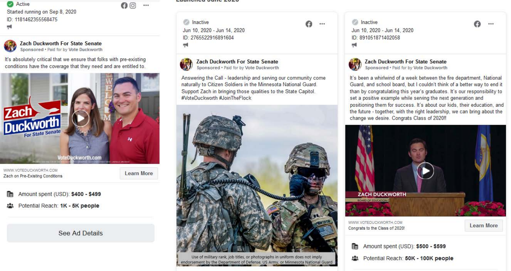Active Started running on Sep 8, 2020 ID: 1181462355568475 м¢

Zach Duckworth For State Senate Sponsored . Paid for by Vote Duckworth

It's absolutely critical that we ensure that folks with pre-existing conditions have the coverage that they need and are entitled to.



WWW.VOTEDUCKWORTH.COM Zach on Pre-Existing Conditions **Learn More** 

 $\mathbf{\Omega}$ 

Amount spent (USD): \$400 - \$499 鼬

Potential Reach: 1K - 5K people

**See Ad Details** 

Laulicieu Julie Zuzu

**Inactive** Jun 10, 2020 - Jun 14, 2020 ID: 2765522916891604 ÷

### **Zach Duckworth For State Senate**

Sponsored . Paid for by Vote Duckworth

Answering the Call - leadership and serving our community come naturally to Citizen Soldiers in the Minnesota National Guard. Support Zach in bringing those qualities to the State Capitol. #VoteDuckworth #JoinTheFlock



Use of military rank, job titles, or photographs in uniform does not imply endorsement by the Department of Defense, US Army, or Minnesota National Guard

**Inactive** Jun 10, 2020 - Jun 14, 2020 ID: 891051871402058 чq



G)

...

Zach Duckworth For State Senate Sponsored . Paid for by Vote Duckworth

It's been a whirlwind of a week between the fire department, National Guard, and school board, but I couldn't think of a better way to end it than by congratulating this year's graduates. It's our responsibility to set a positive example while serving the next generation and positioning them for success. It's about our kids, their education, and the future - together, with the right leadership, we can bring about the change we desire. Congrats Class of 2020!!



i. Amount spent (USD): \$500 - \$599

Potential Reach: 50K - 100K people

...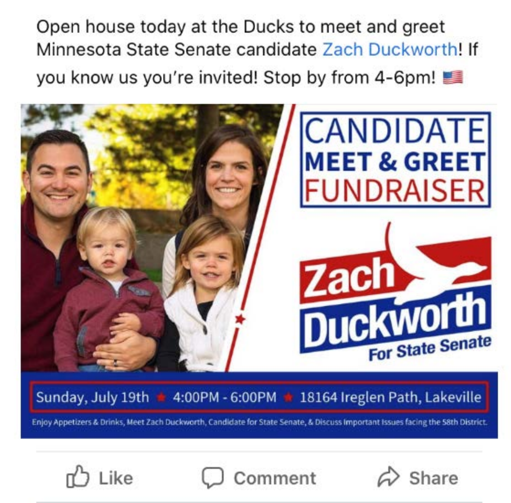Open house today at the Ducks to meet and greet Minnesota State Senate candidate Zach Duckworth! If you know us you're invited! Stop by from 4-6pm!



Sunday, July 19th  $\triangleq 4:00PM - 6:00PM + 18164$  Ireglen Path, Lakeville

Enjoy Appetizers & Drinks, Meet Zach Duckworth, Candidate for State Senate, & Discuss Important Issues facing the 58th District.





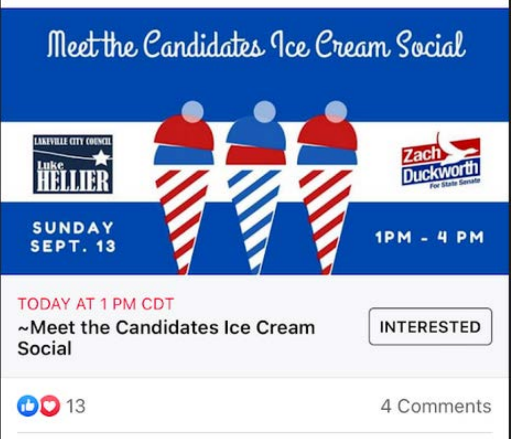

### **TODAY AT 1 PM CDT**

~Meet the Candidates Ice Cream Social





4 Comments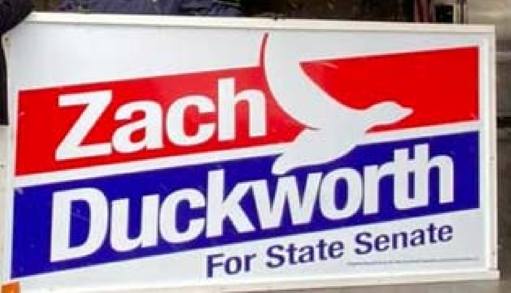